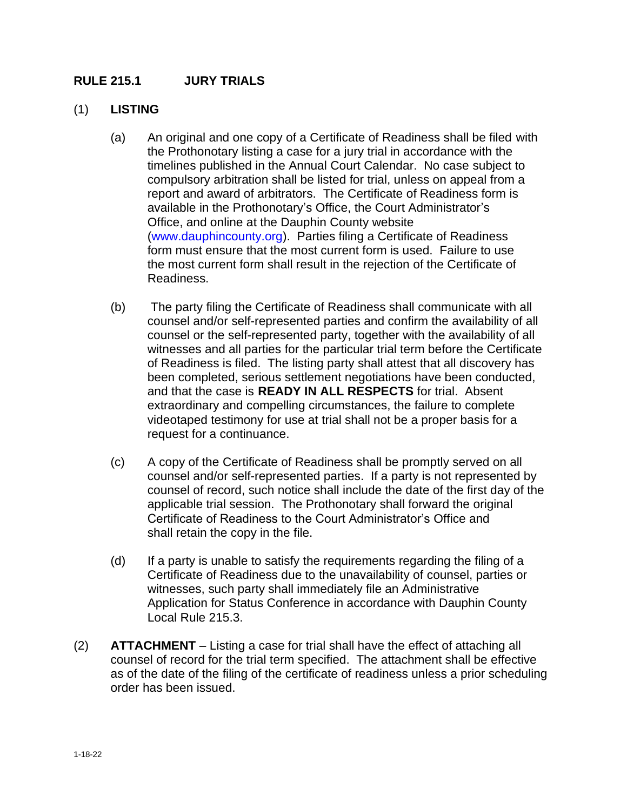## **RULE 215.1 JURY TRIALS**

## (1) **LISTING**

- (a) An original and one copy of a Certificate of Readiness shall be filed with the Prothonotary listing a case for a jury trial in accordance with the timelines published in the Annual Court Calendar. No case subject to compulsory arbitration shall be listed for trial, unless on appeal from a report and award of arbitrators. The Certificate of Readiness form is available in the Prothonotary's Office, the Court Administrator's Office, and online at the Dauphin County website [\(www.dauphincounty.org\)](http://www.dauphincounty.org/). Parties filing a Certificate of Readiness form must ensure that the most current form is used. Failure to use the most current form shall result in the rejection of the Certificate of Readiness.
- (b) The party filing the Certificate of Readiness shall communicate with all counsel and/or self-represented parties and confirm the availability of all counsel or the self-represented party, together with the availability of all witnesses and all parties for the particular trial term before the Certificate of Readiness is filed. The listing party shall attest that all discovery has been completed, serious settlement negotiations have been conducted, and that the case is **READY IN ALL RESPECTS** for trial. Absent extraordinary and compelling circumstances, the failure to complete videotaped testimony for use at trial shall not be a proper basis for a request for a continuance.
- (c) A copy of the Certificate of Readiness shall be promptly served on all counsel and/or self-represented parties.If a party is not represented by counsel of record, such notice shall include the date of the first day of the applicable trial session. The Prothonotary shall forward the original Certificate of Readiness to the Court Administrator's Office and shall retain the copy in the file.
- (d) If a party is unable to satisfy the requirements regarding the filing of a Certificate of Readiness due to the unavailability of counsel, parties or witnesses, such party shall immediately file an Administrative Application for Status Conference in accordance with Dauphin County Local Rule 215.3.
- (2) **ATTACHMENT** Listing a case for trial shall have the effect of attaching all counsel of record for the trial term specified. The attachment shall be effective as of the date of the filing of the certificate of readiness unless a prior scheduling order has been issued.